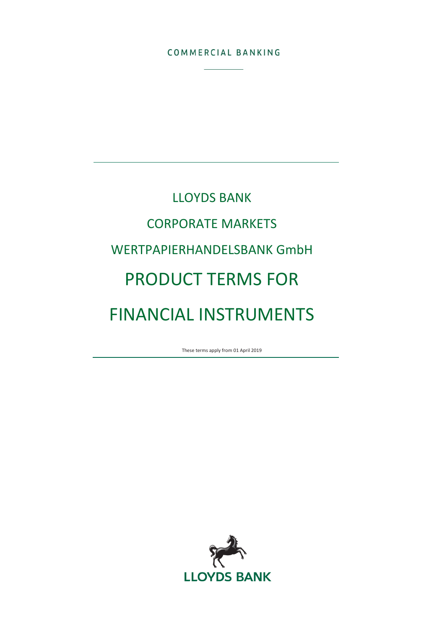### COMMERCIAL BANKING

# LLOYDS BANK CORPORATE MARKETS WERTPAPIERHANDELSBANK GmbH PRODUCT TERMS FOR FINANCIAL INSTRUMENTS

These terms apply from 01 April 2019

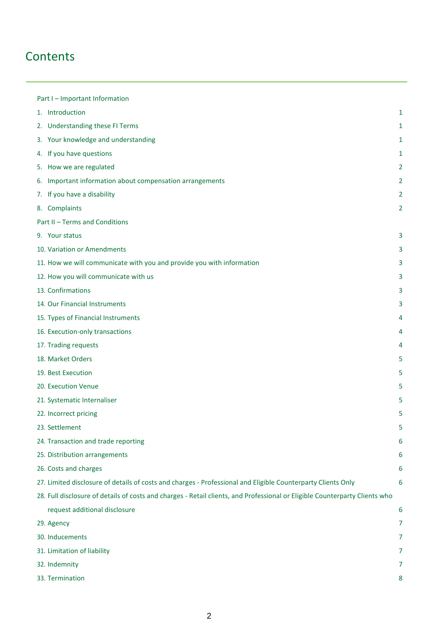# **Contents**

| Part I - Important Information                                                                                              |                |
|-----------------------------------------------------------------------------------------------------------------------------|----------------|
| 1. Introduction                                                                                                             | 1              |
| 2. Understanding these FI Terms                                                                                             | 1              |
| 3. Your knowledge and understanding                                                                                         | 1              |
| 4. If you have questions                                                                                                    | 1              |
| 5. How we are regulated                                                                                                     | $\overline{2}$ |
| 6. Important information about compensation arrangements                                                                    | 2              |
| 7. If you have a disability                                                                                                 | 2              |
| 8. Complaints                                                                                                               | $\overline{2}$ |
| Part II - Terms and Conditions                                                                                              |                |
| 9. Your status                                                                                                              | 3              |
| 10. Variation or Amendments                                                                                                 | 3              |
| 11. How we will communicate with you and provide you with information                                                       | 3              |
| 12. How you will communicate with us                                                                                        | 3              |
| 13. Confirmations                                                                                                           | 3              |
| 14. Our Financial Instruments                                                                                               | 3              |
| 15. Types of Financial Instruments                                                                                          | 4              |
| 16. Execution-only transactions                                                                                             | 4              |
| 17. Trading requests                                                                                                        | 4              |
| 18. Market Orders                                                                                                           | 5              |
| 19. Best Execution                                                                                                          | 5              |
| 20. Execution Venue                                                                                                         | 5              |
| 21. Systematic Internaliser                                                                                                 | 5              |
| 22. Incorrect pricing                                                                                                       | 5              |
| 23. Settlement                                                                                                              | 5              |
| 24. Transaction and trade reporting                                                                                         | 6              |
| 25. Distribution arrangements                                                                                               | 6              |
| 26. Costs and charges                                                                                                       | 6              |
| 27. Limited disclosure of details of costs and charges - Professional and Eligible Counterparty Clients Only                | 6              |
| 28. Full disclosure of details of costs and charges - Retail clients, and Professional or Eligible Counterparty Clients who |                |
| request additional disclosure                                                                                               | 6              |
| 29. Agency                                                                                                                  | 7              |
| 30. Inducements                                                                                                             | 7              |
| 31. Limitation of liability                                                                                                 | 7              |
| 32. Indemnity                                                                                                               | 7              |
| 33. Termination                                                                                                             | 8              |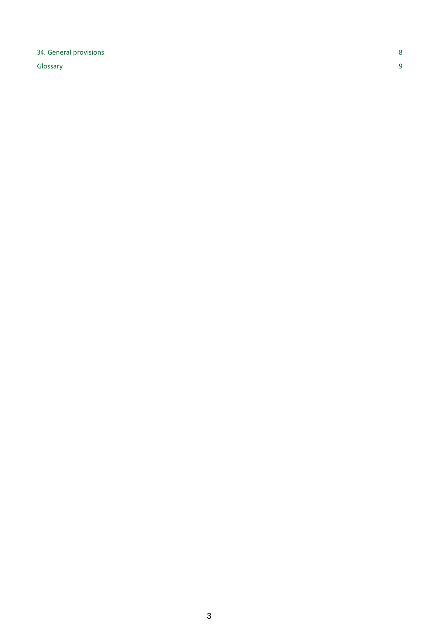### 34. General provisions 8

Glossary 9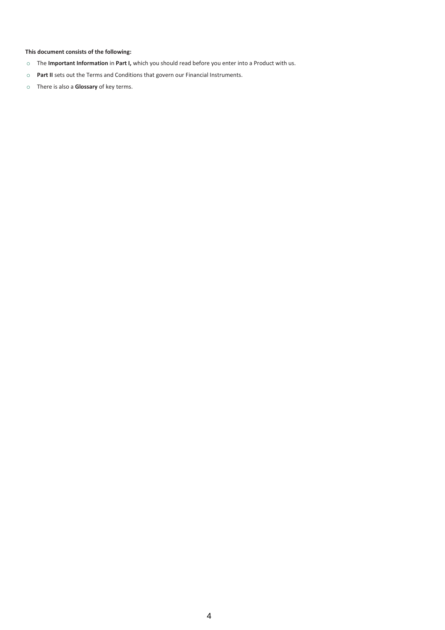### **This document consists of the following:**

- o The **Important Information** in **Part I,** which you should read before you enter into a Product with us.
- o **Part II** sets out the Terms and Conditions that govern our Financial Instruments.
- o There is also a **Glossary** of key terms.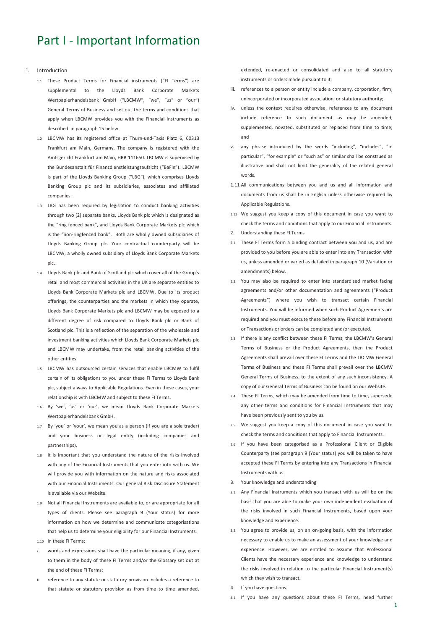# Part I - Important Information

#### 1. Introduction

- 1.1 These Product Terms for Financial instruments ("FI Terms") are supplemental to the Lloyds Bank Corporate Markets Wertpapierhandelsbank GmbH ("LBCMW", "we", "us" or "our") General Terms of Business and set out the terms and conditions that apply when LBCMW provides you with the Financial Instruments as described in paragraph 15 below.
- 1.2 LBCMW has its registered office at Thurn-und-Taxis Platz 6, 60313 Frankfurt am Main, Germany. The company is registered with the Amtsgericht Frankfurt am Main, HRB 111650. LBCMW is supervised by the Bundesanstalt für Finanzdienstleistungsaufsicht ("BaFin"). LBCMW is part of the Lloyds Banking Group ("LBG"), which comprises Lloyds Banking Group plc and its subsidiaries, associates and affiliated companies.
- LBG has been required by legislation to conduct banking activities through two (2) separate banks, Lloyds Bank plc which is designated as the "ring fenced bank", and Lloyds Bank Corporate Markets plc which is the "non-ringfenced bank". Both are wholly owned subsidiaries of Lloyds Banking Group plc. Your contractual counterparty will be LBCMW, a wholly owned subsidiary of Lloyds Bank Corporate Markets plc.
- 1.4 Lloyds Bank plc and Bank of Scotland plc which cover all of the Group's retail and most commercial activities in the UK are separate entities to Lloyds Bank Corporate Markets plc and LBCMW. Due to its product offerings, the counterparties and the markets in which they operate, Lloyds Bank Corporate Markets plc and LBCMW may be exposed to a different degree of risk compared to Lloyds Bank plc or Bank of Scotland plc. This is a reflection of the separation of the wholesale and investment banking activities which Lloyds Bank Corporate Markets plc and LBCMW may undertake, from the retail banking activities of the other entities.
- 1.5 LBCMW has outsourced certain services that enable LBCMW to fulfil certain of its obligations to you under these FI Terms to Lloyds Bank plc, subject always to Applicable Regulations. Even in these cases, your relationship is with LBCMW and subject to these FI Terms.
- 1.6 By 'we', 'us' or 'our', we mean Lloyds Bank Corporate Markets Wertpapierhandelsbank GmbH.
- 1.7 By 'you' or 'your', we mean you as a person (if you are a sole trader) and your business or legal entity (including companies and partnerships).
- 1.8 It is important that you understand the nature of the risks involved with any of the Financial Instruments that you enter into with us. We will provide you with information on the nature and risks associated with our Financial Instruments. Our general Risk Disclosure Statement is available via our Website.
- 1.9 Not all Financial Instruments are available to, or are appropriate for all types of clients. Please see paragraph 9 (Your status) for more information on how we determine and communicate categorisations that help us to determine your eligibility for our Financial Instruments.
- 1.10 In these FI Terms:
- words and expressions shall have the particular meaning, if any, given to them in the body of these FI Terms and/or the Glossary set out at the end of these FI Terms;
- ii reference to any statute or statutory provision includes a reference to that statute or statutory provision as from time to time amended,

extended, re-enacted or consolidated and also to all statutory instruments or orders made pursuant to it;

- iii. references to a person or entity include a company, corporation, firm, unincorporated or incorporated association, or statutory authority;
- iv. unless the context requires otherwise, references to any document include reference to such document as may be amended, supplemented, novated, substituted or replaced from time to time; and
- any phrase introduced by the words "including", "includes", "in particular", "for example" or "such as" or similar shall be construed as illustrative and shall not limit the generality of the related general words.
- 1.11 All communications between you and us and all information and documents from us shall be in English unless otherwise required by Applicable Regulations.
- 1.12 We suggest you keep a copy of this document in case you want to check the terms and conditions that apply to our Financial Instruments.
- 2. Understanding these FI Terms
- 2.1 These FI Terms form a binding contract between you and us, and are provided to you before you are able to enter into any Transaction with us, unless amended or varied as detailed in paragraph 10 (Variation or amendments) below.
- You may also be required to enter into standardised market facing agreements and/or other documentation and agreements ("Product Agreements") where you wish to transact certain Financial Instruments. You will be informed when such Product Agreements are required and you must execute these before any Financial Instruments or Transactions or orders can be completed and/or executed.
- 2.3 If there is any conflict between these FI Terms, the LBCMW's General Terms of Business or the Product Agreements, then the Product Agreements shall prevail over these FI Terms and the LBCMW General Terms of Business and these FI Terms shall prevail over the LBCMW General Terms of Business, to the extent of any such inconsistency. A copy of our General Terms of Business can be found on our Website.
- 2.4 These FI Terms, which may be amended from time to time, supersede any other terms and conditions for Financial Instruments that may have been previously sent to you by us.
- 2.5 We suggest you keep a copy of this document in case you want to check the terms and conditions that apply to Financial Instruments.
- 2.6 If you have been categorised as a Professional Client or Eligible Counterparty (see paragraph 9 (Your status) you will be taken to have accepted these FI Terms by entering into any Transactions in Financial Instruments with us.
- 3. Your knowledge and understanding
- 3.1 Any Financial Instruments which you transact with us will be on the basis that you are able to make your own independent evaluation of the risks involved in such Financial Instruments, based upon your knowledge and experience.
- 3.2 You agree to provide us, on an on-going basis, with the information necessary to enable us to make an assessment of your knowledge and experience. However, we are entitled to assume that Professional Clients have the necessary experience and knowledge to understand the risks involved in relation to the particular Financial Instrument(s) which they wish to transact.
- If you have questions
- If you have any questions about these FI Terms, need further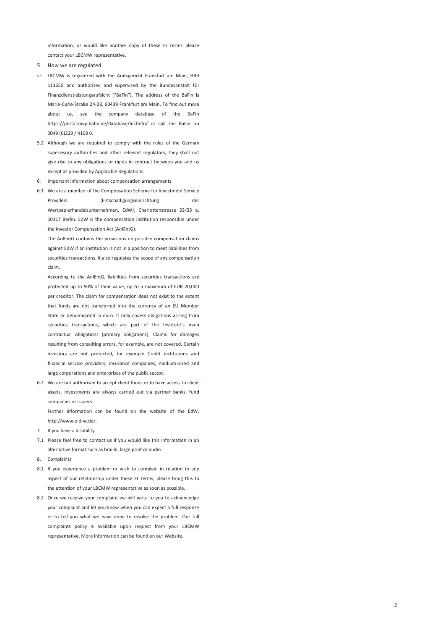information, or would like another copy of these FI Terms please contact your LBCMW representative.

- 5. How we are regulated
- 5.1 LBCMW is registered with the Amtsgericht Frankfurt am Main, HRB 111650 and authorised and supervised by the Bundesanstalt für Finanzdienstleistungsaufsicht ("BaFin"). The address of the BaFin is Marie-Curie-Straße 24-28, 60439 Frankfurt am Main. To find out more about us, see the company database of the BaFin https://portal.mvp.bafin.de/database/InstInfo/ or call the BaFin on 0049 (0)228 / 4108 0.
- 5.2 Although we are required to comply with the rules of the German supervisory authorities and other relevant regulators, they shall not give rise to any obligations or rights in contract between you and us except as provided by Applicable Regulations.
- 6. Important information about compensation arrangements
- 6.1 We are a member of the Compensation Scheme for Investment Service Providers (Entschädigungseinrichtung der Wertpapierhandelsunternehmen, EdW), Charlottenstrasse 33/33 a, 10117 Berlin. EdW is the compensation institution responsible under the Investor Compensation Act (AnlEntG).

The AnlEntG contains the provisions on possible compensation claims against EdW if an institution is not in a position to meet liabilities from securities transactions. It also regulates the scope of any compensation claim.

According to the AnlEntG, liabilities from securities transactions are protected up to 90% of their value, up to a maximum of EUR 20,000 per creditor. The claim for compensation does not exist to the extent that funds are not transferred into the currency of an EU Member State or denominated in euro. It only covers obligations arising from securities transactions, which are part of the Institute's main contractual obligations (primary obligations). Claims for damages resulting from consulting errors, for example, are not covered. Certain investors are not protected, for example Credit institutions and financial service providers, insurance companies, medium-sized and large corporations and enterprises of the public sector.

6.2 We are not authorised to accept client funds or to have access to client assets. Investments are always carried out via partner banks, fund companies or issuers.

Further information can be found on the website of the EdW, [http://www.e-d-w.de/.](http://www.e-d-w.de/)

- 7 If you have a disability
- 7.1 Please feel free to contact us if you would like this information in an alternative format such as braille, large print or audio.
- 8. Complaints
- 8.1 If you experience a problem or wish to complain in relation to any aspect of our relationship under these FI Terms, please bring this to the attention of your LBCMW representative as soon as possible.
- 8.2 Once we receive your complaint we will write to you to acknowledge your complaint and let you know when you can expect a full response or to tell you what we have done to resolve the problem. Our full complaints policy is available upon request from your LBCMW representative. More information can be found on our Website.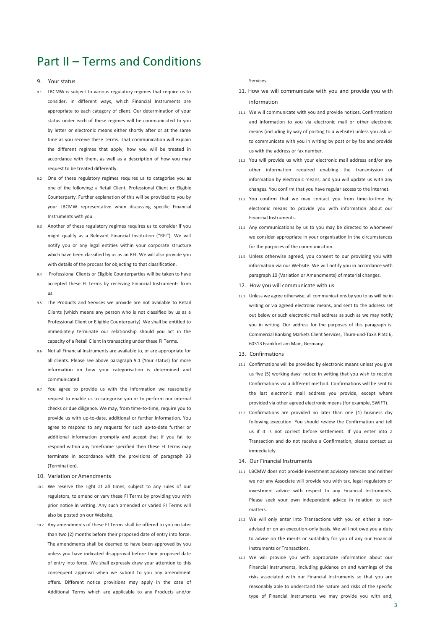# Part II – Terms and Conditions

#### 9. Your status

- 9.1 LBCMW is subject to various regulatory regimes that require us to consider, in different ways, which Financial Instruments are appropriate to each category of client. Our determination of your status under each of these regimes will be communicated to you by letter or electronic means either shortly after or at the same time as you receive these Terms. That communication will explain the different regimes that apply, how you will be treated in accordance with them, as well as a description of how you may request to be treated differently.
- One of these regulatory regimes requires us to categorise you as one of the following: a Retail Client, Professional Client or Eligible Counterparty. Further explanation of this will be provided to you by your LBCMW representative when discussing specific Financial Instruments with you.
- 9.3 Another of these regulatory regimes requires us to consider if you might qualify as a Relevant Financial Institution ("RFI"). We will notify you or any legal entities within your corporate structure which have been classified by us as an RFI. We will also provide you with details of the process for objecting to that classification.
- 9.4 Professional Clients or Eligible Counterparties will be taken to have accepted these FI Terms by receiving Financial Instruments from us.
- 9.5 The Products and Services we provide are not available to Retail Clients (which means any person who is not classified by us as a Professional Client or Eligible Counterparty). We shall be entitled to immediately terminate our relationship should you act in the capacity of a Retail Client in transacting under these FI Terms.
- 9.6 Not all Financial Instruments are available to, or are appropriate for all clients. Please see above paragraph 9.1 (Your status) for more information on how your categorisation is determined and communicated.
- 9.7 You agree to provide us with the information we reasonably request to enable us to categorise you or to perform our internal checks or due diligence. We may, from time-to-time, require you to provide us with up-to-date, additional or further information. You agree to respond to any requests for such up-to-date further or additional information promptly and accept that if you fail to respond within any timeframe specified then these FI Terms may terminate in accordance with the provisions of paragraph 33 (Termination).
- 10. Variation or Amendments
- 10.1 We reserve the right at all times, subject to any rules of our regulators, to amend or vary these FI Terms by providing you with prior notice in writing. Any such amended or varied FI Terms will also be posted on our Website.
- 10.2 Any amendments of these FI Terms shall be offered to you no later than two (2) months before their proposed date of entry into force. The amendments shall be deemed to have been approved by you unless you have indicated disapproval before their proposed date of entry into force. We shall expressly draw your attention to this consequent approval when we submit to you any amendment offers. Different notice provisions may apply in the case of Additional Terms which are applicable to any Products and/or

Services.

- 11. How we will communicate with you and provide you with information
- 11.1 We will communicate with you and provide notices, Confirmations and information to you via electronic mail or other electronic means (including by way of posting to a website) unless you ask us to communicate with you in writing by post or by fax and provide us with the address or fax number.
- 11.2 You will provide us with your electronic mail address and/or any other information required enabling the transmission of information by electronic means, and you will update us with any changes. You confirm that you have regular access to the internet.
- 11.3 You confirm that we may contact you from time-to-time by electronic means to provide you with information about our Financial Instruments.
- 11.4 Any communications by us to you may be directed to whomever we consider appropriate in your organisation in the circumstances for the purposes of the communication.
- 11.5 Unless otherwise agreed, you consent to our providing you with information via our Website. We will notify you in accordance with paragraph 10 (Variation or Amendments) of material changes.
- 12. How you will communicate with us
- 12.1 Unless we agree otherwise, all communications by you to us will be in writing or via agreed electronic means, and sent to the address set out below or such electronic mail address as such as we may notify you in writing. Our address for the purposes of this paragraph is: Commercial Banking Markets Client Services, Thurn-und-Taxis Platz 6, 60313 Frankfurt am Main, Germany.
- 13. Confirmations
- 13.1 Confirmations will be provided by electronic means unless you give us five (5) working days' notice in writing that you wish to receive Confirmations via a different method. Confirmations will be sent to the last electronic mail address you provide, except where provided via other agreed electronic means (for example, SWIFT).
- 13.2 Confirmations are provided no later than one (1) business day following execution. You should review the Confirmation and tell us if it is not correct before settlement. If you enter into a Transaction and do not receive a Confirmation, please contact us immediately.
- 14. Our Financial Instruments
- 14.1 LBCMW does not provide investment advisory services and neither we nor any Associate will provide you with tax, legal regulatory or investment advice with respect to any Financial Instruments. Please seek your own independent advice in relation to such matters.
- 14.2 We will only enter into Transactions with you on either a nonadvised or on an execution-only basis. We will not owe you a duty to advise on the merits or suitability for you of any our Financial Instruments or Transactions.
- 14.3 We will provide you with appropriate information about our Financial Instruments, including guidance on and warnings of the risks associated with our Financial Instruments so that you are reasonably able to understand the nature and risks of the specific type of Financial Instruments we may provide you with and,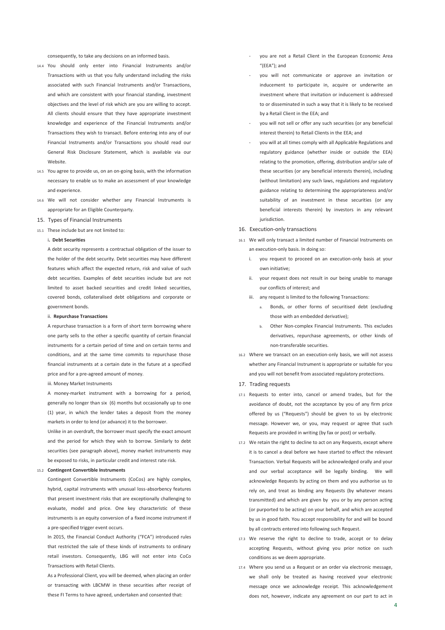consequently, to take any decisions on an informed basis.

- 14.4 You should only enter into Financial Instruments and/or Transactions with us that you fully understand including the risks associated with such Financial Instruments and/or Transactions, and which are consistent with your financial standing, investment objectives and the level of risk which are you are willing to accept. All clients should ensure that they have appropriate investment knowledge and experience of the Financial Instruments and/or Transactions they wish to transact. Before entering into any of our Financial Instruments and/or Transactions you should read our General Risk Disclosure Statement, which is available via our Website.
- 14.5 You agree to provide us, on an on-going basis, with the information necessary to enable us to make an assessment of your knowledge and experience.
- 14.6 We will not consider whether any Financial Instruments is appropriate for an Eligible Counterparty.
- 15. Types of Financial Instruments
- 15.1 These include but are not limited to:

#### i**. Debt Securities**

A debt security represents a contractual obligation of the issuer to the holder of the debt security. Debt securities may have different features which affect the expected return, risk and value of such debt securities. Examples of debt securities include but are not limited to asset backed securities and credit linked securities, covered bonds, collateralised debt obligations and corporate or government bonds.

#### ii. **Repurchase Transactions**

A repurchase transaction is a form of short term borrowing where one party sells to the other a specific quantity of certain financial instruments for a certain period of time and on certain terms and conditions, and at the same time commits to repurchase those financial instruments at a certain date in the future at a specified price and for a pre-agreed amount of money.

iii. Money Market Instruments

A money-market instrument with a borrowing for a period, generally no longer than six (6) months but occasionally up to one (1) year, in which the lender takes a deposit from the money markets in order to lend (or advance) it to the borrower.

Unlike in an overdraft, the borrower must specify the exact amount and the period for which they wish to borrow. Similarly to debt securities (see paragraph above), money market instruments may be exposed to risks, in particular credit and interest rate risk.

#### 15.2 **Contingent Convertible Instruments**

Contingent Convertible Instruments (CoCos) are highly complex, hybrid, capital instruments with unusual loss-absorbency features that present investment risks that are exceptionally challenging to evaluate, model and price. One key characteristic of these instruments is an equity conversion of a fixed income instrument if a pre-specified trigger event occurs.

In 2015, the Financial Conduct Authority ("FCA") introduced rules that restricted the sale of these kinds of instruments to ordinary retail investors. Consequently, LBG will not enter into CoCo Transactions with Retail Clients.

As a Professional Client, you will be deemed, when placing an order or transacting with LBCMW in these securities after receipt of these FI Terms to have agreed, undertaken and consented that:

- you are not a Retail Client in the European Economic Area "(EEA"); and
- you will not communicate or approve an invitation or inducement to participate in, acquire or underwrite an investment where that invitation or inducement is addressed to or disseminated in such a way that it is likely to be received by a Retail Client in the EEA; and
- you will not sell or offer any such securities (or any beneficial interest therein) to Retail Clients in the EEA; and
- you will at all times comply with all Applicable Regulations and regulatory guidance (whether inside or outside the EEA) relating to the promotion, offering, distribution and/or sale of these securities (or any beneficial interests therein), including (without limitation) any such laws, regulations and regulatory guidance relating to determining the appropriateness and/or suitability of an investment in these securities (or any beneficial interests therein) by investors in any relevant jurisdiction.

#### 16. Execution-only transactions

- 16.1 We will only transact a limited number of Financial Instruments on an execution-only basis. In doing so:
	- i. you request to proceed on an execution-only basis at your own initiative;
	- ii. your request does not result in our being unable to manage our conflicts of interest; and
	- iii. any request is limited to the following Transactions:
		- Bonds, or other forms of securitised debt (excluding those with an embedded derivative);
		- b. Other Non-complex Financial Instruments. This excludes derivatives, repurchase agreements, or other kinds of non-transferable securities.
- 16.2 Where we transact on an execution-only basis, we will not assess whether any Financial Instrument is appropriate or suitable for you and you will not benefit from associated regulatory protections.
- 17. Trading requests
- 17.1 Requests to enter into, cancel or amend trades, but for the avoidance of doubt, not the acceptance by you of any firm price offered by us ("Requests") should be given to us by electronic message. However we, or you, may request or agree that such Requests are provided in writing (by fax or post) or verbally.
- 17.2 We retain the right to decline to act on any Requests, except where it is to cancel a deal before we have started to effect the relevant Transaction. Verbal Requests will be acknowledged orally and your and our verbal acceptance will be legally binding. We will acknowledge Requests by acting on them and you authorise us to rely on, and treat as binding any Requests (by whatever means transmitted) and which are given by you or by any person acting (or purported to be acting) on your behalf, and which are accepted by us in good faith. You accept responsibility for and will be bound by all contracts entered into following such Request.
- 17.3 We reserve the right to decline to trade, accept or to delay accepting Requests, without giving you prior notice on such conditions as we deem appropriate.
- 17.4 Where you send us a Request or an order via electronic message, we shall only be treated as having received your electronic message once we acknowledge receipt. This acknowledgement does not, however, indicate any agreement on our part to act in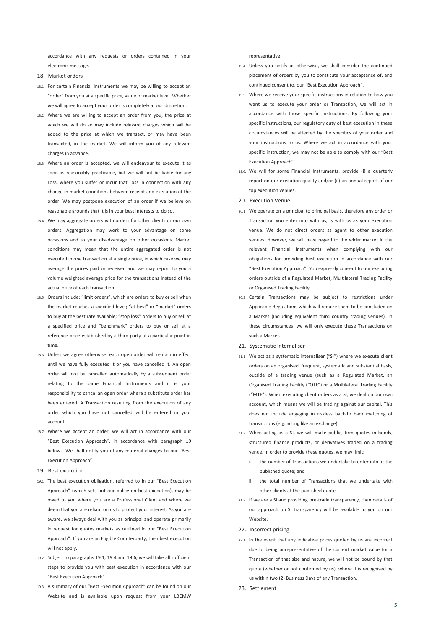accordance with any requests or orders contained in your electronic message.

- 18. Market orders
- 18.1 For certain Financial Instruments we may be willing to accept an "order" from you at a specific price, value or market level. Whether we will agree to accept your order is completely at our discretion.
- 18.2 Where we are willing to accept an order from you, the price at which we will do so may include relevant charges which will be added to the price at which we transact, or may have been transacted, in the market. We will inform you of any relevant charges in advance.
- 18.3 Where an order is accepted, we will endeavour to execute it as soon as reasonably practicable, but we will not be liable for any Loss, where you suffer or incur that Loss in connection with any change in market conditions between receipt and execution of the order. We may postpone execution of an order if we believe on reasonable grounds that it is in your best interests to do so.
- 18.4 We may aggregate orders with orders for other clients or our own orders. Aggregation may work to your advantage on some occasions and to your disadvantage on other occasions. Market conditions may mean that the entire aggregated order is not executed in one transaction at a single price, in which case we may average the prices paid or received and we may report to you a volume weighted average price for the transactions instead of the actual price of each transaction.
- 18.5 Orders include: "limit orders", which are orders to buy or sell when the market reaches a specified level; "at best" or "market" orders to buy at the best rate available; "stop loss" orders to buy or sell at a specified price and "benchmark" orders to buy or sell at a reference price established by a third party at a particular point in time.
- 18.6 Unless we agree otherwise, each open order will remain in effect until we have fully executed it or you have cancelled it. An open order will not be cancelled automatically by a subsequent order relating to the same Financial Instruments and it is your responsibility to cancel an open order where a substitute order has been entered. A Transaction resulting from the execution of any order which you have not cancelled will be entered in your account.
- 18.7 Where we accept an order, we will act in accordance with our "Best Execution Approach", in accordance with paragraph 19 below. We shall notify you of any material changes to our "Best Execution Approach".
- 19. Best execution
- 19.1 The best execution obligation, referred to in our "Best Execution Approach" (which sets out our policy on best execution), may be owed to you where you are a Professional Client and where we deem that you are reliant on us to protect your interest. As you are aware, we always deal with you as principal and operate primarily in request for quotes markets as outlined in our "Best Execution Approach". If you are an Eligible Counterparty, then best execution will not apply.
- 19.2 Subject to paragraphs 19.1, 19.4 and 19.6, we will take all sufficient steps to provide you with best execution in accordance with our "Best Execution Approach".
- 19.3 A summary of our "Best Execution Approach" can be found on our Website and is available upon request from your LBCMW

representative.

- 19.4 Unless you notify us otherwise, we shall consider the continued placement of orders by you to constitute your acceptance of, and continued consent to, our "Best Execution Approach".
- 19.5 Where we receive your specific instructions in relation to how you want us to execute your order or Transaction, we will act in accordance with those specific instructions. By following your specific instructions, our regulatory duty of best execution in these circumstances will be affected by the specifics of your order and your instructions to us. Where we act in accordance with your specific instruction, we may not be able to comply with our "Best Execution Approach".
- 19.6. We will for some Financial Instruments, provide (i) a quarterly report on our execution quality and/or (ii) an annual report of our top execution venues.
- 20. Execution Venue
- 20.1 We operate on a principal to principal basis, therefore any order or Transaction you enter into with us, is with us as your execution venue. We do not direct orders as agent to other execution venues. However, we will have regard to the wider market in the relevant Financial Instruments when complying with our obligations for providing best execution in accordance with our "Best Execution Approach". You expressly consent to our executing orders outside of a Regulated Market, Multilateral Trading Facility or Organised Trading Facility.
- 20.2 Certain Transactions may be subject to restrictions under Applicable Regulations which will require them to be concluded on a Market (including equivalent third country trading venues). In these circumstances, we will only execute these Transactions on such a Market.
- 21. Systematic Internaliser
- 21.1 We act as a systematic internaliser ("SI") where we execute client orders on an organised, frequent, systematic and substantial basis, outside of a trading venue (such as a Regulated Market, an Organised Trading Facility ("OTF") or a Multilateral Trading Facility ("MTF"). When executing client orders as a SI, we deal on our own account, which means we will be trading against our capital. This does not include engaging in riskless back-to back matching of transactions (e.g. acting like an exchange).
- 21.2 When acting as a SI, we will make public, firm quotes in bonds, structured finance products, or derivatives traded on a trading venue. In order to provide these quotes, we may limit:
	- the number of Transactions we undertake to enter into at the published quote; and
	- ii. the total number of Transactions that we undertake with other clients at the published quote.
- 21.3 If we are a SI and providing pre-trade transparency, then details of our approach on SI transparency will be available to you on our Website.
- 22. Incorrect pricing
- 22.1 In the event that any indicative prices quoted by us are incorrect due to being unrepresentative of the current market value for a Transaction of that size and nature, we will not be bound by that quote (whether or not confirmed by us), where it is recognised by us within two (2) Business Days of any Transaction.
- 23. Settlement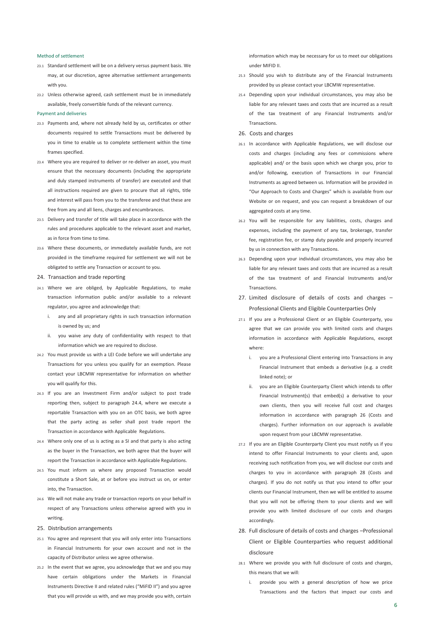#### Method of settlement

- 23.1 Standard settlement will be on a delivery versus payment basis. We may, at our discretion, agree alternative settlement arrangements with you.
- 23.2 Unless otherwise agreed, cash settlement must be in immediately available, freely convertible funds of the relevant currency.

#### Payment and deliveries

- 23.3 Payments and, where not already held by us, certificates or other documents required to settle Transactions must be delivered by you in time to enable us to complete settlement within the time frames specified.
- 23.4 Where you are required to deliver or re-deliver an asset, you must ensure that the necessary documents (including the appropriate and duly stamped instruments of transfer) are executed and that all instructions required are given to procure that all rights, title and interest will pass from you to the transferee and that these are free from any and all liens, charges and encumbrances.
- 23.5 Delivery and transfer of title will take place in accordance with the rules and procedures applicable to the relevant asset and market, as in force from time to time.
- 23.6 Where these documents, or immediately available funds, are not provided in the timeframe required for settlement we will not be obligated to settle any Transaction or account to you.
- 24. Transaction and trade reporting
- 24.1 Where we are obliged, by Applicable Regulations, to make transaction information public and/or available to a relevant regulator, you agree and acknowledge that:
	- i. any and all proprietary rights in such transaction information is owned by us; and
	- ii. you waive any duty of confidentiality with respect to that information which we are required to disclose.
- 24.2 You must provide us with a LEI Code before we will undertake any Transactions for you unless you qualify for an exemption. Please contact your LBCMW representative for information on whether you will qualify for this.
- 24.3 If you are an Investment Firm and/or subject to post trade reporting then, subject to paragraph 24.4, where we execute a reportable Transaction with you on an OTC basis, we both agree that the party acting as seller shall post trade report the Transaction in accordance with Applicable Regulations.
- 24.4 Where only one of us is acting as a SI and that party is also acting as the buyer in the Transaction, we both agree that the buyer will report the Transaction in accordance with Applicable Regulations.
- 24.5 You must inform us where any proposed Transaction would constitute a Short Sale, at or before you instruct us on, or enter into, the Transaction.
- 24.6 We will not make any trade or transaction reports on your behalf in respect of any Transactions unless otherwise agreed with you in writing.
- 25. Distribution arrangements
- 25.1 You agree and represent that you will only enter into Transactions in Financial Instruments for your own account and not in the capacity of Distributor unless we agree otherwise.
- 25.2 In the event that we agree, you acknowledge that we and you may have certain obligations under the Markets in Financial Instruments Directive II and related rules ("MiFID II") and you agree that you will provide us with, and we may provide you with, certain

information which may be necessary for us to meet our obligations under MIFID II.

- 25.3 Should you wish to distribute any of the Financial Instruments provided by us please contact your LBCMW representative.
- 25.4 Depending upon your individual circumstances, you may also be liable for any relevant taxes and costs that are incurred as a result of the tax treatment of any Financial Instruments and/or Transactions.
- 26. Costs and charges
- 26.1 In accordance with Applicable Regulations, we will disclose our costs and charges (including any fees or commissions where applicable) and/ or the basis upon which we charge you, prior to and/or following, execution of Transactions in our Financial Instruments as agreed between us. Information will be provided in "Our Approach to Costs and Charges" which is available from our Website or on request, and you can request a breakdown of our aggregated costs at any time.
- 26.2 You will be responsible for any liabilities, costs, charges and expenses, including the payment of any tax, brokerage, transfer fee, registration fee, or stamp duty payable and properly incurred by us in connection with any Transactions.
- 26.3 Depending upon your individual circumstances, you may also be liable for any relevant taxes and costs that are incurred as a result of the tax treatment of and Financial Instruments and/or Transactions.
- 27. Limited disclosure of details of costs and charges Professional Clients and Eligible Counterparties Only
- 27.1 If you are a Professional Client or an Eligible Counterparty, you agree that we can provide you with limited costs and charges information in accordance with Applicable Regulations, except where:
	- i. you are a Professional Client entering into Transactions in any Financial Instrument that embeds a derivative (e.g. a credit linked note); or
	- ii. you are an Eligible Counterparty Client which intends to offer Financial Instrument(s) that embed(s) a derivative to your own clients, then you will receive full cost and charges information in accordance with paragraph 26 (Costs and charges). Further information on our approach is available upon request from your LBCMW representative.
- 27.2 If you are an Eligible Counterparty Client you must notify us if you intend to offer Financial Instruments to your clients and, upon receiving such notification from you, we will disclose our costs and charges to you in accordance with paragraph 28 (Costs and charges). If you do not notify us that you intend to offer your clients our Financial Instrument, then we will be entitled to assume that you will not be offering them to your clients and we will provide you with limited disclosure of our costs and charges accordingly.
- 28. Full disclosure of details of costs and charges –Professional Client or Eligible Counterparties who request additional disclosure
- 28.1 Where we provide you with full disclosure of costs and charges, this means that we will:
	- i. provide you with a general description of how we price Transactions and the factors that impact our costs and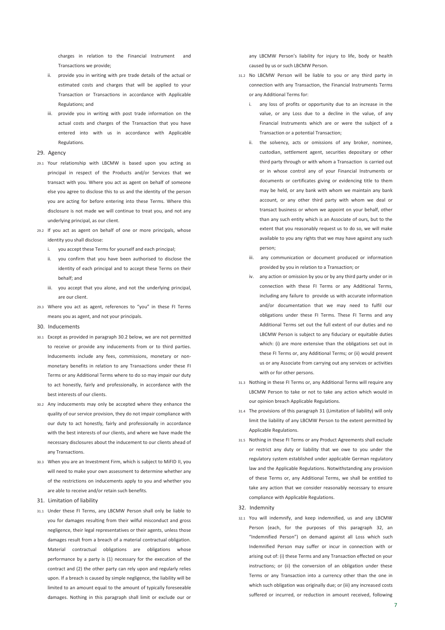charges in relation to the Financial Instrument and Transactions we provide;

- ii. provide you in writing with pre trade details of the actual or estimated costs and charges that will be applied to your Transaction or Transactions in accordance with Applicable Regulations; and
- iii. provide you in writing with post trade information on the actual costs and charges of the Transaction that you have entered into with us in accordance with Applicable Regulations.

#### 29. Agency

- 29.1 Your relationship with LBCMW is based upon you acting as principal in respect of the Products and/or Services that we transact with you. Where you act as agent on behalf of someone else you agree to disclose this to us and the identity of the person you are acting for before entering into these Terms. Where this disclosure is not made we will continue to treat you, and not any underlying principal, as our client.
- 29.2 If you act as agent on behalf of one or more principals, whose identity you shall disclose:
	- i. you accept these Terms for yourself and each principal;
	- ii. you confirm that you have been authorised to disclose the identity of each principal and to accept these Terms on their behalf; and
	- iii. you accept that you alone, and not the underlying principal, are our client.
- 29.3 Where you act as agent, references to "you" in these FI Terms means you as agent, and not your principals.
- 30. Inducements
- 30.1 Except as provided in paragraph 30.2 below, we are not permitted to receive or provide any inducements from or to third parties. Inducements include any fees, commissions, monetary or nonmonetary benefits in relation to any Transactions under these FI Terms or any Additional Terms where to do so may impair our duty to act honestly, fairly and professionally, in accordance with the best interests of our clients.
- 30.2 Any inducements may only be accepted where they enhance the quality of our service provision, they do not impair compliance with our duty to act honestly, fairly and professionally in accordance with the best interests of our clients, and where we have made the necessary disclosures about the inducement to our clients ahead of any Transactions.
- 30.3 When you are an Investment Firm, which is subject to MiFID II, you will need to make your own assessment to determine whether any of the restrictions on inducements apply to you and whether you are able to receive and/or retain such benefits.
- 31. Limitation of liability
- 31.1 Under these FI Terms, any LBCMW Person shall only be liable to you for damages resulting from their wilful misconduct and gross negligence, their legal representatives or their agents, unless those damages result from a breach of a material contractual obligation. Material contractual obligations are obligations whose performance by a party is (1) necessary for the execution of the contract and (2) the other party can rely upon and regularly relies upon. If a breach is caused by simple negligence, the liability will be limited to an amount equal to the amount of typically foreseeable damages. Nothing in this paragraph shall limit or exclude our or

any LBCMW Person's liability for injury to life, body or health caused by us or such LBCMW Person.

- 31.2 No LBCMW Person will be liable to you or any third party in connection with any Transaction, the Financial Instruments Terms or any Additional Terms for:
	- i. any loss of profits or opportunity due to an increase in the value, or any Loss due to a decline in the value, of any Financial Instruments which are or were the subject of a Transaction or a potential Transaction;
	- ii. the solvency, acts or omissions of any broker, nominee, custodian, settlement agent, securities depositary or other third party through or with whom a Transaction is carried out or in whose control any of your Financial Instruments or documents or certificates giving or evidencing title to them may be held, or any bank with whom we maintain any bank account, or any other third party with whom we deal or transact business or whom we appoint on your behalf, other than any such entity which is an Associate of ours, but to the extent that you reasonably request us to do so, we will make available to you any rights that we may have against any such person;
	- iii. any communication or document produced or information provided by you in relation to a Transaction; or
	- iv. any action or omission by you or by any third party under or in connection with these FI Terms or any Additional Terms, including any failure to provide us with accurate information and/or documentation that we may need to fulfil our obligations under these FI Terms. These FI Terms and any Additional Terms set out the full extent of our duties and no LBCMW Person is subject to any fiduciary or equitable duties which: (i) are more extensive than the obligations set out in these FI Terms or, any Additional Terms; or (ii) would prevent us or any Associate from carrying out any services or activities with or for other persons.
- 31.3 Nothing in these FI Terms or, any Additional Terms will require any LBCMW Person to take or not to take any action which would in our opinion breach Applicable Regulations.
- 31.4 The provisions of this paragraph 31 (Limitation of liability) will only limit the liability of any LBCMW Person to the extent permitted by Applicable Regulations.
- 31.5 Nothing in these FI Terms or any Product Agreements shall exclude or restrict any duty or liability that we owe to you under the regulatory system established under applicable German regulatory law and the Applicable Regulations. Notwithstanding any provision of these Terms or, any Additional Terms, we shall be entitled to take any action that we consider reasonably necessary to ensure compliance with Applicable Regulations.
- 32. Indemnity
- 32.1 You will indemnify, and keep indemnified, us and any LBCMW Person (each, for the purposes of this paragraph 32, an "Indemnified Person") on demand against all Loss which such Indemnified Person may suffer or incur in connection with or arising out of: (i) these Terms and any Transaction effected on your instructions; or (ii) the conversion of an obligation under these Terms or any Transaction into a currency other than the one in which such obligation was originally due; or (iii) any increased costs suffered or incurred, or reduction in amount received, following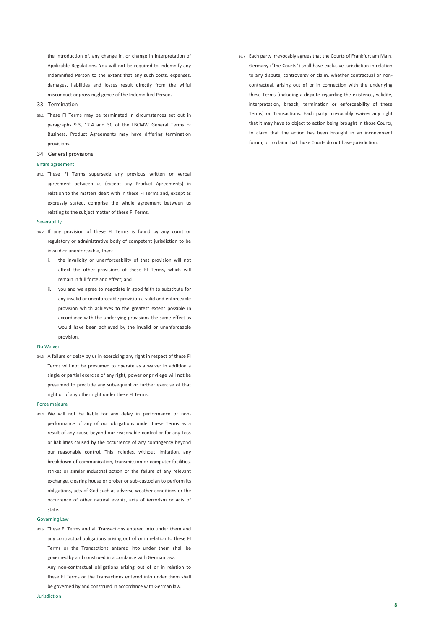the introduction of, any change in, or change in interpretation of Applicable Regulations. You will not be required to indemnify any Indemnified Person to the extent that any such costs, expenses, damages, liabilities and losses result directly from the wilful misconduct or gross negligence of the Indemnified Person.

- 33. Termination
- 33.1 These FI Terms may be terminated in circumstances set out in paragraphs 9.3, 12.4 and 30 of the LBCMW General Terms of Business. Product Agreements may have differing termination provisions.
- 34. General provisions

#### Entire agreement

34.1 These FI Terms supersede any previous written or verbal agreement between us (except any Product Agreements) in relation to the matters dealt with in these FI Terms and, except as expressly stated, comprise the whole agreement between us relating to the subject matter of these FI Terms.

#### Severability

- 34.2 If any provision of these FI Terms is found by any court or regulatory or administrative body of competent jurisdiction to be invalid or unenforceable, then:
	- i. the invalidity or unenforceability of that provision will not affect the other provisions of these FI Terms, which will remain in full force and effect; and
	- ii. you and we agree to negotiate in good faith to substitute for any invalid or unenforceable provision a valid and enforceable provision which achieves to the greatest extent possible in accordance with the underlying provisions the same effect as would have been achieved by the invalid or unenforceable provision.

#### No Waiver

34.3 A failure or delay by us in exercising any right in respect of these FI Terms will not be presumed to operate as a waiver In addition a single or partial exercise of any right, power or privilege will not be presumed to preclude any subsequent or further exercise of that right or of any other right under these FI Terms.

#### Force majeure

34.4 We will not be liable for any delay in performance or nonperformance of any of our obligations under these Terms as a result of any cause beyond our reasonable control or for any Loss or liabilities caused by the occurrence of any contingency beyond our reasonable control. This includes, without limitation, any breakdown of communication, transmission or computer facilities, strikes or similar industrial action or the failure of any relevant exchange, clearing house or broker or sub-custodian to perform its obligations, acts of God such as adverse weather conditions or the occurrence of other natural events, acts of terrorism or acts of state.

#### Governing Law

34.5 These FI Terms and all Transactions entered into under them and any contractual obligations arising out of or in relation to these FI Terms or the Transactions entered into under them shall be governed by and construed in accordance with German law.

Any non-contractual obligations arising out of or in relation to these FI Terms or the Transactions entered into under them shall be governed by and construed in accordance with German law.

36.7 Each party irrevocably agrees that the Courts of Frankfurt am Main, Germany ("the Courts") shall have exclusive jurisdiction in relation to any dispute, controversy or claim, whether contractual or noncontractual, arising out of or in connection with the underlying these Terms (including a dispute regarding the existence, validity, interpretation, breach, termination or enforceability of these Terms) or Transactions. Each party irrevocably waives any right that it may have to object to action being brought in those Courts, to claim that the action has been brought in an inconvenient forum, or to claim that those Courts do not have jurisdiction.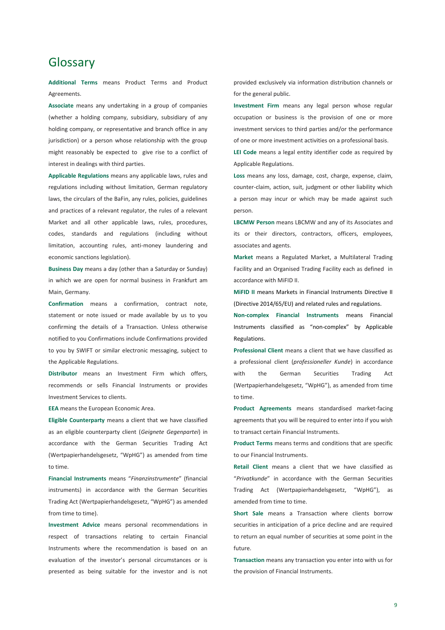## Glossary

**Additional Terms** means Product Terms and Product Agreements.

**Associate** means any undertaking in a group of companies (whether a holding company, subsidiary, subsidiary of any holding company, or representative and branch office in any jurisdiction) or a person whose relationship with the group might reasonably be expected to give rise to a conflict of interest in dealings with third parties.

**Applicable Regulations** means any applicable laws, rules and regulations including without limitation, German regulatory laws, the circulars of the BaFin, any rules, policies, guidelines and practices of a relevant regulator, the rules of a relevant Market and all other applicable laws, rules, procedures, codes, standards and regulations (including without limitation, accounting rules, anti-money laundering and economic sanctions legislation).

**Business Day** means a day (other than a Saturday or Sunday) in which we are open for normal business in Frankfurt am Main, Germany.

**Confirmation** means a confirmation, contract note, statement or note issued or made available by us to you confirming the details of a Transaction. Unless otherwise notified to you Confirmations include Confirmations provided to you by SWIFT or similar electronic messaging, subject to the Applicable Regulations.

**Distributor** means an Investment Firm which offers, recommends or sells Financial Instruments or provides Investment Services to clients.

**EEA** means the European Economic Area.

**Eligible Counterparty** means a client that we have classified as an eligible counterparty client (*Geignete Gegenpartei*) in accordance with the German Securities Trading Act (Wertpapierhandelsgesetz, "WpHG") as amended from time to time.

**Financial Instruments** means "*Finanzinstrumente*" (financial instruments) in accordance with the German Securities Trading Act (Wertpapierhandelsgesetz, "WpHG") as amended from time to time).

**Investment Advice** means personal recommendations in respect of transactions relating to certain Financial Instruments where the recommendation is based on an evaluation of the investor's personal circumstances or is presented as being suitable for the investor and is not provided exclusively via information distribution channels or for the general public.

**Investment Firm** means any legal person whose regular occupation or business is the provision of one or more investment services to third parties and/or the performance of one or more investment activities on a professional basis.

**LEI Code** means a legal entity identifier code as required by Applicable Regulations.

**Loss** means any loss, damage, cost, charge, expense, claim, counter-claim, action, suit, judgment or other liability which a person may incur or which may be made against such person.

**LBCMW Person** means LBCMW and any of its Associates and its or their directors, contractors, officers, employees, associates and agents.

**Market** means a Regulated Market, a Multilateral Trading Facility and an Organised Trading Facility each as defined in accordance with MiFID II.

**MiFID II** means Markets in Financial Instruments Directive II (Directive 2014/65/EU) and related rules and regulations.

**Non-complex Financial Instruments** means Financial Instruments classified as "non-complex" by Applicable Regulations.

**Professional Client** means a client that we have classified as a professional client (*professioneller Kunde*) in accordance with the German Securities Trading Act (Wertpapierhandelsgesetz, "WpHG"), as amended from time to time.

**Product Agreements** means standardised market-facing agreements that you will be required to enter into if you wish to transact certain Financial Instruments.

**Product Terms** means terms and conditions that are specific to our Financial Instruments.

**Retail Client** means a client that we have classified as "*Privatkunde*" in accordance with the German Securities Trading Act (Wertpapierhandelsgesetz, "WpHG"), as amended from time to time.

**Short Sale** means a Transaction where clients borrow securities in anticipation of a price decline and are required to return an equal number of securities at some point in the future.

**Transaction** means any transaction you enter into with us for the provision of Financial Instruments.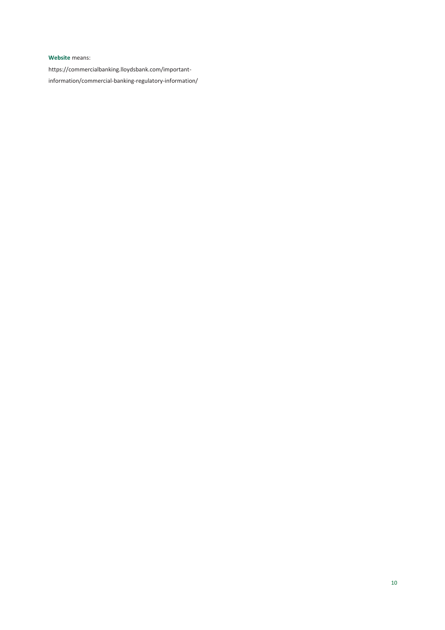### **Website** means:

https://commercialbanking.lloydsbank.com/importantinformation/commercial-banking-regulatory-information/